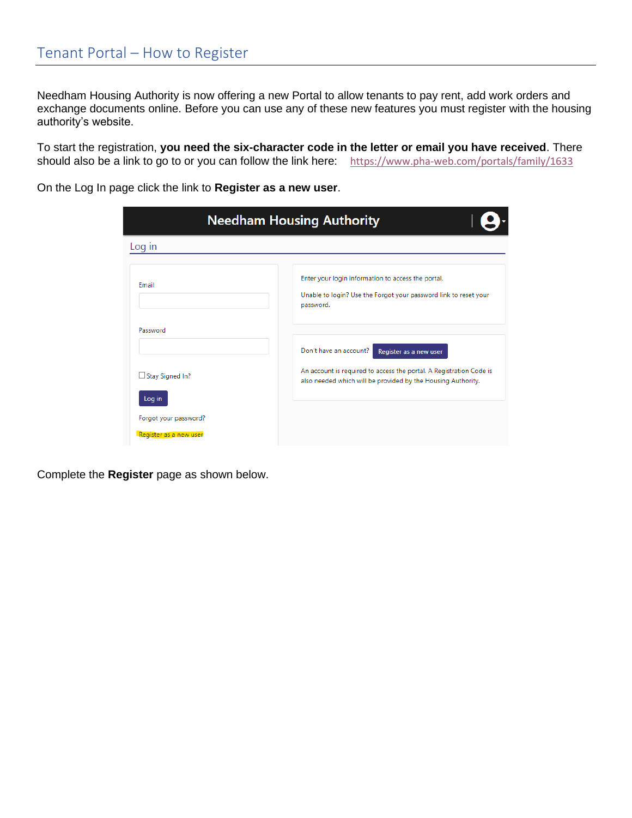Needham Housing Authority is now offering a new Portal to allow tenants to pay rent, add work orders and exchange documents online. Before you can use any of these new features you must register with the housing authority's website.

To start the registration, **you need the six-character code in the letter or email you have received**. There should also be a link to go to or you can follow the link here: <https://www.pha-web.com/portals/family/1633>

On the Log In page click the link to **Register as a new user**.

| <b>Needham Housing Authority</b>                |                                                                                                                                                                                         |
|-------------------------------------------------|-----------------------------------------------------------------------------------------------------------------------------------------------------------------------------------------|
| Log in                                          |                                                                                                                                                                                         |
| Fmail                                           | Enter your login information to access the portal.<br>Unable to login? Use the Forgot your password link to reset your<br>password.                                                     |
| Password                                        |                                                                                                                                                                                         |
| Stay Signed In?<br>Log in                       | Don't have an account?<br>Register as a new user<br>An account is required to access the portal. A Registration Code is<br>also needed which will be provided by the Housing Authority. |
| Forgot your password?<br>Register as a new user |                                                                                                                                                                                         |

Complete the **Register** page as shown below.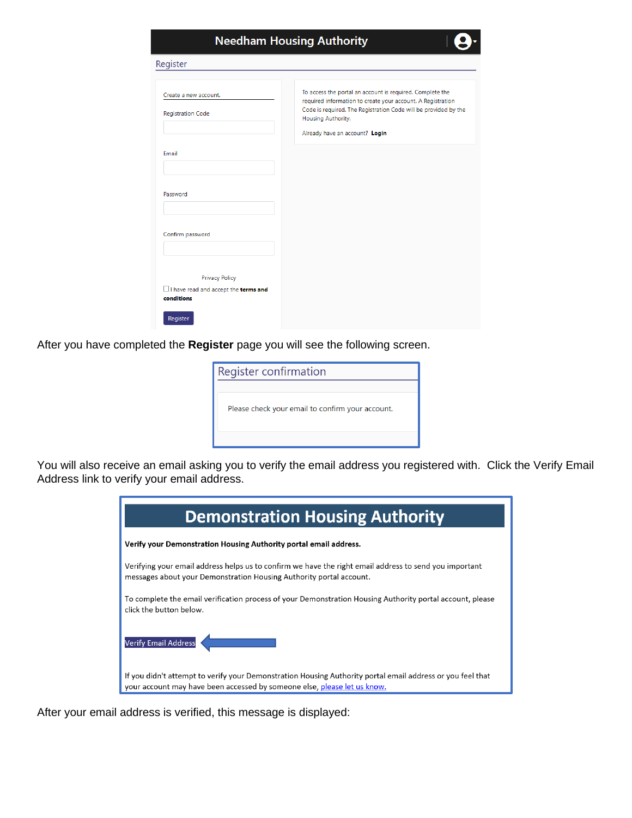| <b>Needham Housing Authority</b>                   |                                                                                                                                                                                                                                                     |  |
|----------------------------------------------------|-----------------------------------------------------------------------------------------------------------------------------------------------------------------------------------------------------------------------------------------------------|--|
| Register                                           |                                                                                                                                                                                                                                                     |  |
| Create a new account.<br><b>Registration Code</b>  | To access the portal an account is required. Complete the<br>required information to create your account. A Registration<br>Code is required. The Registration Code will be provided by the<br>Housing Authority.<br>Already have an account? Login |  |
| Email                                              |                                                                                                                                                                                                                                                     |  |
| Password                                           |                                                                                                                                                                                                                                                     |  |
| Confirm password                                   |                                                                                                                                                                                                                                                     |  |
| <b>Privacy Policy</b>                              |                                                                                                                                                                                                                                                     |  |
| I have read and accept the terms and<br>conditions |                                                                                                                                                                                                                                                     |  |
| Register                                           |                                                                                                                                                                                                                                                     |  |

After you have completed the **Register** page you will see the following screen.

| Register confirmation                            |  |
|--------------------------------------------------|--|
|                                                  |  |
| Please check your email to confirm your account. |  |
|                                                  |  |

You will also receive an email asking you to verify the email address you registered with. Click the Verify Email Address link to verify your email address.

| <b>Demonstration Housing Authority</b>                                                                                                                                                 |  |  |
|----------------------------------------------------------------------------------------------------------------------------------------------------------------------------------------|--|--|
| Verify your Demonstration Housing Authority portal email address.                                                                                                                      |  |  |
| Verifying your email address helps us to confirm we have the right email address to send you important<br>messages about your Demonstration Housing Authority portal account.          |  |  |
| To complete the email verification process of your Demonstration Housing Authority portal account, please<br>click the button below.                                                   |  |  |
| Verify Email Address                                                                                                                                                                   |  |  |
| If you didn't attempt to verify your Demonstration Housing Authority portal email address or you feel that<br>your account may have been accessed by someone else, please let us know. |  |  |

After your email address is verified, this message is displayed: